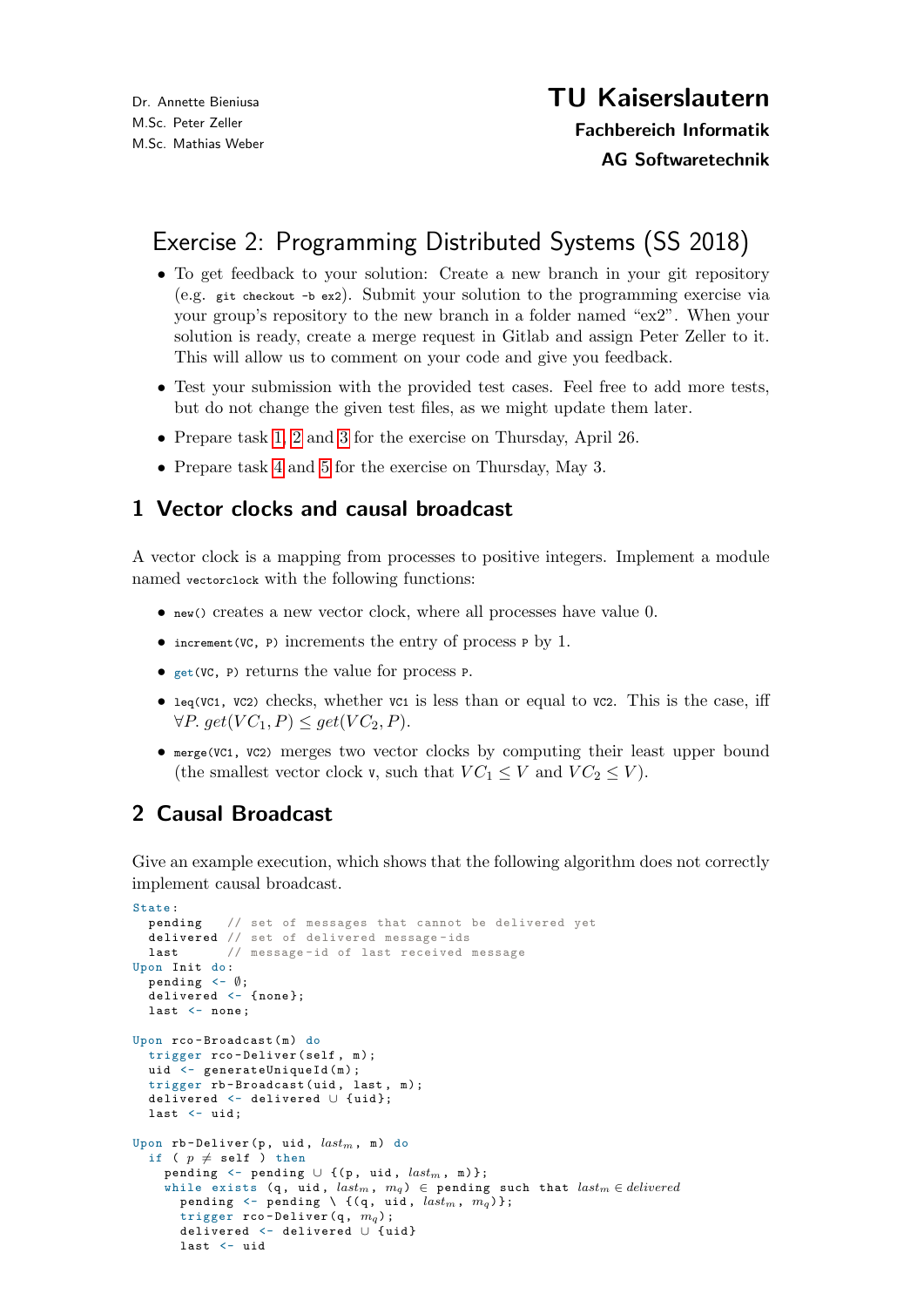# Exercise 2: Programming Distributed Systems (SS 2018)

- To get feedback to your solution: Create a new branch in your git repository (e.g. git checkout -b ex2). Submit your solution to the programming exercise via your group's repository to the new branch in a folder named "ex2". When your solution is ready, create a merge request in Gitlab and assign Peter Zeller to it. This will allow us to comment on your code and give you feedback.
- Test your submission with the provided test cases. Feel free to add more tests, but do not change the given test files, as we might update them later.
- Prepare task [1,](#page-0-0) [2](#page-0-1) and [3](#page-1-0) for the exercise on Thursday, April 26.
- Prepare task [4](#page-1-1) and [5](#page-1-2) for the exercise on Thursday, May 3.

### <span id="page-0-0"></span>1 Vector clocks and causal broadcast

A vector clock is a mapping from processes to positive integers. Implement a module named vectorclock with the following functions:

- new() creates a new vector clock, where all processes have value 0.
- increment(VC, P) increments the entry of process P by 1.
- get(VC, P) returns the value for process P.
- leq(VC1, VC2) checks, whether VC1 is less than or equal to VC2. This is the case, iff  $\forall P. get(VC_1, P) \leq get(VC_2, P).$
- merge(VC1, VC2) merges two vector clocks by computing their least upper bound (the smallest vector clock v, such that  $VC_1 \leq V$  and  $VC_2 \leq V$ ).

# <span id="page-0-1"></span>2 Causal Broadcast

Give an example execution, which shows that the following algorithm does not correctly implement causal broadcast.

```
State:<br>pending
             // set of messages that cannot be delivered yet
  delivered // set of delivered message-ids
  last // message -id of last received message
Upon Init do:
  pending \langle - \emptyset;
  delivered <- {none};
  last <- none;
Upon rco - Broadcast (m) do
  trigger rco - Deliver (self , m);
  uid <- generateUniqueId(m);
  trigger rb-Broadcast (uid, last, m);
  delivered <- delivered ∪ { uid };
  last <- uid:
Upon rb-Deliver(p, uid, \mathit{last}_m, m) do
  if ( p \neq self ) then
    pending \leq pending \cup {(p, uid, last_m, m)};
    while exists (q, uid, last_m, m_q) \in pending such that last_m \in deliveredpending \langle - pending \setminus {(q, uid, last_m, m_q)};
      trigger rco-Deliver (q, m_q);
      delivered <- delivered ∪ { uid }
      last <- uid
```